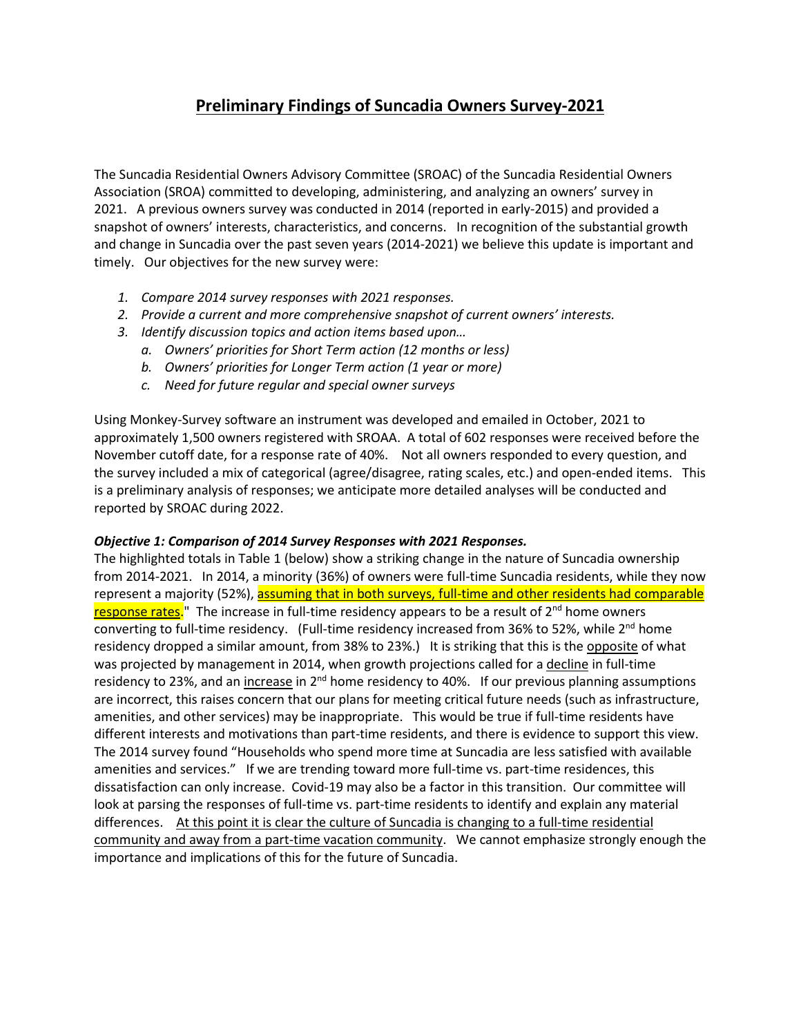## **Preliminary Findings of Suncadia Owners Survey-2021**

The Suncadia Residential Owners Advisory Committee (SROAC) of the Suncadia Residential Owners Association (SROA) committed to developing, administering, and analyzing an owners' survey in 2021. A previous owners survey was conducted in 2014 (reported in early-2015) and provided a snapshot of owners' interests, characteristics, and concerns. In recognition of the substantial growth and change in Suncadia over the past seven years (2014-2021) we believe this update is important and timely. Our objectives for the new survey were:

- *1. Compare 2014 survey responses with 2021 responses.*
- *2. Provide a current and more comprehensive snapshot of current owners' interests.*
- *3. Identify discussion topics and action items based upon…*
	- *a. Owners' priorities for Short Term action (12 months or less)*
	- *b. Owners' priorities for Longer Term action (1 year or more)*
	- *c. Need for future regular and special owner surveys*

Using Monkey-Survey software an instrument was developed and emailed in October, 2021 to approximately 1,500 owners registered with SROAA. A total of 602 responses were received before the November cutoff date, for a response rate of 40%. Not all owners responded to every question, and the survey included a mix of categorical (agree/disagree, rating scales, etc.) and open-ended items. This is a preliminary analysis of responses; we anticipate more detailed analyses will be conducted and reported by SROAC during 2022.

## *Objective 1: Comparison of 2014 Survey Responses with 2021 Responses.*

The highlighted totals in Table 1 (below) show a striking change in the nature of Suncadia ownership from 2014-2021. In 2014, a minority (36%) of owners were full-time Suncadia residents, while they now represent a majority (52%), assuming that in both surveys, full-time and other residents had comparable response rates." The increase in full-time residency appears to be a result of 2<sup>nd</sup> home owners converting to full-time residency. (Full-time residency increased from 36% to 52%, while  $2<sup>nd</sup>$  home residency dropped a similar amount, from 38% to 23%.) It is striking that this is the opposite of what was projected by management in 2014, when growth projections called for a decline in full-time residency to 23%, and an increase in  $2^{nd}$  home residency to 40%. If our previous planning assumptions are incorrect, this raises concern that our plans for meeting critical future needs (such as infrastructure, amenities, and other services) may be inappropriate. This would be true if full-time residents have different interests and motivations than part-time residents, and there is evidence to support this view. The 2014 survey found "Households who spend more time at Suncadia are less satisfied with available amenities and services." If we are trending toward more full-time vs. part-time residences, this dissatisfaction can only increase. Covid-19 may also be a factor in this transition. Our committee will look at parsing the responses of full-time vs. part-time residents to identify and explain any material differences. At this point it is clear the culture of Suncadia is changing to a full-time residential community and away from a part-time vacation community. We cannot emphasize strongly enough the importance and implications of this for the future of Suncadia.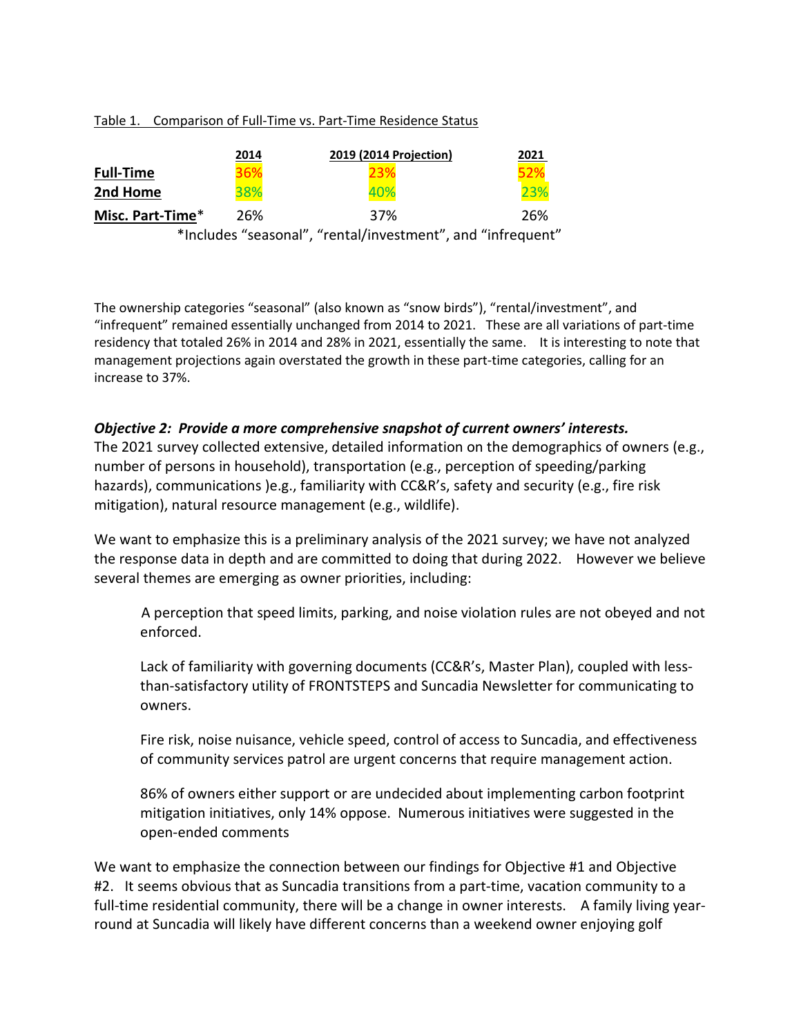## Table 1. Comparison of Full-Time vs. Part-Time Residence Status

|                  | 2014 | 2019 (2014 Projection)                                      | 2021 |
|------------------|------|-------------------------------------------------------------|------|
| <b>Full-Time</b> | 36%  |                                                             | 52%  |
| 2nd Home         | 38%  | 40%                                                         | 23%  |
| Misc. Part-Time* | 26%  | 37%                                                         | 26%  |
|                  |      | *Includes "seasonal", "rental/investment", and "infrequent" |      |

The ownership categories "seasonal" (also known as "snow birds"), "rental/investment", and "infrequent" remained essentially unchanged from 2014 to 2021. These are all variations of part-time residency that totaled 26% in 2014 and 28% in 2021, essentially the same. It is interesting to note that management projections again overstated the growth in these part-time categories, calling for an increase to 37%.

## *Objective 2: Provide a more comprehensive snapshot of current owners' interests.*

The 2021 survey collected extensive, detailed information on the demographics of owners (e.g., number of persons in household), transportation (e.g., perception of speeding/parking hazards), communications )e.g., familiarity with CC&R's, safety and security (e.g., fire risk mitigation), natural resource management (e.g., wildlife).

We want to emphasize this is a preliminary analysis of the 2021 survey; we have not analyzed the response data in depth and are committed to doing that during 2022. However we believe several themes are emerging as owner priorities, including:

A perception that speed limits, parking, and noise violation rules are not obeyed and not enforced.

Lack of familiarity with governing documents (CC&R's, Master Plan), coupled with lessthan-satisfactory utility of FRONTSTEPS and Suncadia Newsletter for communicating to owners.

Fire risk, noise nuisance, vehicle speed, control of access to Suncadia, and effectiveness of community services patrol are urgent concerns that require management action.

86% of owners either support or are undecided about implementing carbon footprint mitigation initiatives, only 14% oppose. Numerous initiatives were suggested in the open-ended comments

We want to emphasize the connection between our findings for Objective #1 and Objective #2. It seems obvious that as Suncadia transitions from a part-time, vacation community to a full-time residential community, there will be a change in owner interests. A family living yearround at Suncadia will likely have different concerns than a weekend owner enjoying golf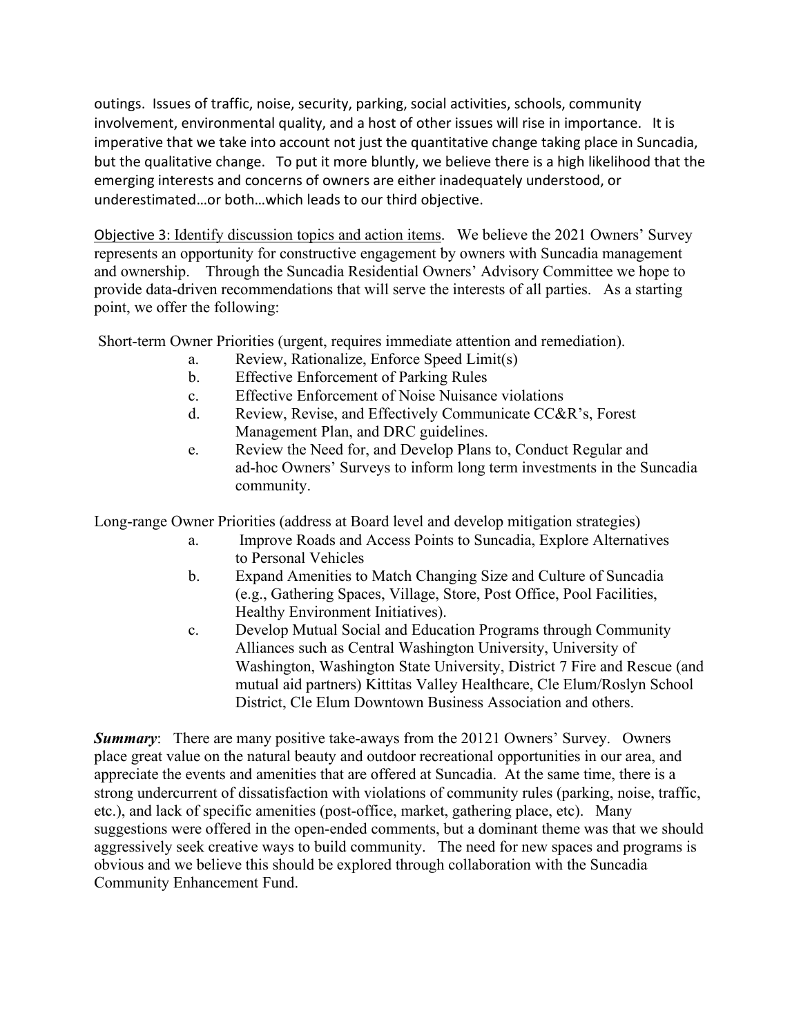outings. Issues of traffic, noise, security, parking, social activities, schools, community involvement, environmental quality, and a host of other issues will rise in importance. It is imperative that we take into account not just the quantitative change taking place in Suncadia, but the qualitative change. To put it more bluntly, we believe there is a high likelihood that the emerging interests and concerns of owners are either inadequately understood, or underestimated…or both…which leads to our third objective.

Objective 3: Identify discussion topics and action items. We believe the 2021 Owners' Survey represents an opportunity for constructive engagement by owners with Suncadia management and ownership. Through the Suncadia Residential Owners' Advisory Committee we hope to provide data-driven recommendations that will serve the interests of all parties. As a starting point, we offer the following:

Short-term Owner Priorities (urgent, requires immediate attention and remediation).

- a. Review, Rationalize, Enforce Speed Limit(s)
- b. Effective Enforcement of Parking Rules
- c. Effective Enforcement of Noise Nuisance violations
- d. Review, Revise, and Effectively Communicate CC&R's, Forest Management Plan, and DRC guidelines.
- e. Review the Need for, and Develop Plans to, Conduct Regular and ad-hoc Owners' Surveys to inform long term investments in the Suncadia community.

Long-range Owner Priorities (address at Board level and develop mitigation strategies)

- a. Improve Roads and Access Points to Suncadia, Explore Alternatives to Personal Vehicles
- b. Expand Amenities to Match Changing Size and Culture of Suncadia (e.g., Gathering Spaces, Village, Store, Post Office, Pool Facilities, Healthy Environment Initiatives).
- c. Develop Mutual Social and Education Programs through Community Alliances such as Central Washington University, University of Washington, Washington State University, District 7 Fire and Rescue (and mutual aid partners) Kittitas Valley Healthcare, Cle Elum/Roslyn School District, Cle Elum Downtown Business Association and others.

*Summary*: There are many positive take-aways from the 20121 Owners' Survey. Owners place great value on the natural beauty and outdoor recreational opportunities in our area, and appreciate the events and amenities that are offered at Suncadia. At the same time, there is a strong undercurrent of dissatisfaction with violations of community rules (parking, noise, traffic, etc.), and lack of specific amenities (post-office, market, gathering place, etc). Many suggestions were offered in the open-ended comments, but a dominant theme was that we should aggressively seek creative ways to build community. The need for new spaces and programs is obvious and we believe this should be explored through collaboration with the Suncadia Community Enhancement Fund.